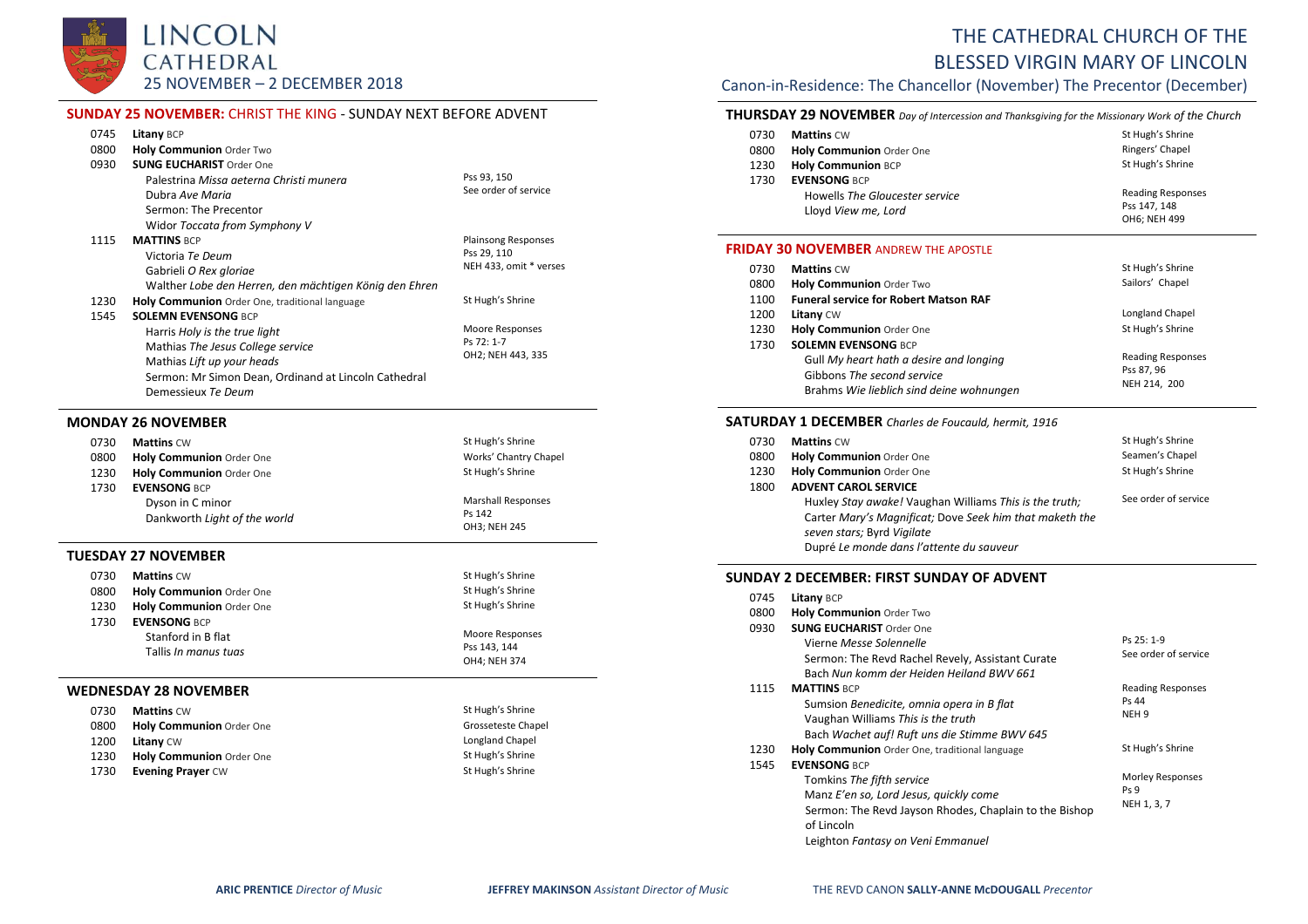

Gabrieli *O Rex gloriae*

Demessieux *Te Deum*

Harris *Holy is the true light* Mathias *The Jesus College service* Mathias *Lift up your heads*

1545 **SOLEMN EVENSONG** BCP

| THE CATHEDRAL CHURCH OF THE           |
|---------------------------------------|
| <b>BLESSED VIRGIN MARY OF LINCOLN</b> |

# Canon-in-Residence: The Chancellor (November) The Precentor (December)

### **THURSDAY 29 NOVEMBER** *Day of Intercession and Thanksgiving for the Missionary Work of the Church*

| 0730 | <b>Mattins CW</b>               | St Hugh's Shrine         |
|------|---------------------------------|--------------------------|
| 0800 | <b>Holy Communion Order One</b> | Ringers' Chapel          |
| 1230 | <b>Holy Communion BCP</b>       | St Hugh's Shrine         |
| 1730 | <b>EVENSONG BCP</b>             |                          |
|      | Howells The Gloucester service  | <b>Reading Responses</b> |
|      | Lloyd View me, Lord             | Pss 147, 148             |
|      |                                 | OH6; NEH 499             |

#### **FRIDAY 30 NOVEMBER** ANDREW THE APOSTLE

| 0730 | <b>Mattins CW</b>                                                      | St Hugh's Shrine         |
|------|------------------------------------------------------------------------|--------------------------|
| 0800 | Holy Communion Order Two                                               | Sailors' Chapel          |
| 1100 | <b>Funeral service for Robert Matson RAF</b>                           |                          |
| 1200 | <b>Litany CW</b>                                                       | Longland Chapel          |
| 1230 | Holy Communion Order One                                               | St Hugh's Shrine         |
| 1730 | <b>SOLEMN EVENSONG BCP</b>                                             |                          |
|      | Gull My heart hath a desire and longing                                | <b>Reading Responses</b> |
|      | Gibbons The second service<br>Brahms Wie lieblich sind deine wohnungen | Pss 87, 96               |
|      |                                                                        | NEH 214, 200             |

#### **SATURDAY 1 DECEMBER** *Charles de Foucauld, hermit, 1916*

| 0730 | <b>Mattins CW</b>                                       | St Hugh's Shrine     |
|------|---------------------------------------------------------|----------------------|
| 0800 | Holy Communion Order One                                | Seamen's Chapel      |
| 1230 | Holy Communion Order One                                | St Hugh's Shrine     |
| 1800 | <b>ADVENT CAROL SERVICE</b>                             |                      |
|      | Huxley Stay awake! Vaughan Williams This is the truth;  | See order of service |
|      | Carter Mary's Magnificat; Dove Seek him that maketh the |                      |
|      | seven stars; Byrd Vigilate                              |                      |
|      | Dupré Le monde dans l'attente du sauveur                |                      |
|      |                                                         |                      |

# **SUNDAY 2 DECEMBER: FIRST SUNDAY OF ADVENT**

| 0745 | <b>Litany BCP</b> |  |
|------|-------------------|--|
|------|-------------------|--|

0745 **Litany** BCP 0800 **Holy Communion** Order Two 0930 **SUNG EUCHARIST** Order One Vierne *Messe Solennelle* Sermon: The Revd Rachel Revely, Assistant Curate Bach *Nun komm der Heiden Heiland BWV 661* Ps 25: 1-9 See order of service 1115 **MATTINS** BCP Sumsion *Benedicite, omnia opera in B flat* Vaughan Williams *This is the truth* Bach *Wachet auf! Ruft uns die Stimme BWV 645* Reading Responses Ps 44 NEH 9

| 1230 | Holy Communion Order One, traditional language         | St Hugh's Shrine |
|------|--------------------------------------------------------|------------------|
| 1545 | <b>EVENSONG BCP</b>                                    |                  |
|      | Tomkins The fifth service                              | Morley Responses |
|      | Manz E'en so, Lord Jesus, quickly come                 | Ps <sub>9</sub>  |
|      | Sermon: The Revd Jayson Rhodes, Chaplain to the Bishop | NEH 1, 3, 7      |
|      | of Lincoln                                             |                  |
|      | Leighton Fantasy on Veni Emmanuel                      |                  |

| 0745 | Litany BCP                              |                            |
|------|-----------------------------------------|----------------------------|
| 0800 | <b>Holy Communion Order Two</b>         |                            |
| 0930 | <b>SUNG EUCHARIST Order One</b>         |                            |
|      | Palestrina Missa geterna Christi munera | Pss 93, 150                |
|      | Dubra Ave Maria                         | See order of service       |
|      | Sermon: The Precentor                   |                            |
|      | Widor Toccata from Symphony V           |                            |
| 1115 | <b>MATTINS BCP</b>                      | <b>Plainsong Responses</b> |
|      | Victoria <i>Te Deum</i>                 | Pss 29, 110                |

1230 **Holy Communion** Order One, traditional language St Hugh's Shrine

Walther *Lobe den Herren, den mächtigen König den Ehren*

Sermon: Mr Simon Dean, Ordinand at Lincoln Cathedral

**SUNDAY 25 NOVEMBER:** CHRIST THE KING - SUNDAY NEXT BEFORE ADVENT

# **MONDAY 26 NOVEMBER**

| 0730                         | <b>Mattins CW</b>               | St Hugh's Shrine          |
|------------------------------|---------------------------------|---------------------------|
| 0800                         | <b>Holy Communion Order One</b> | Works' Chantry Chapel     |
| 1230                         | Holy Communion Order One        | St Hugh's Shrine          |
| 1730                         | <b>EVENSONG BCP</b>             |                           |
|                              | Dyson in C minor                | <b>Marshall Responses</b> |
| Dankworth Light of the world | Ps 142                          |                           |
|                              |                                 | OH3; NEH 245              |

#### **TUESDAY 27 NOVEMBER**

| 0730                 | <b>Mattins CW</b>               | St Hugh's Shrine |
|----------------------|---------------------------------|------------------|
| 0800                 | <b>Holy Communion Order One</b> | St Hugh's Shrine |
| 1230                 | Holy Communion Order One        | St Hugh's Shrine |
| 1730                 | <b>EVENSONG BCP</b>             |                  |
|                      | Stanford in B flat              | Moore Responses  |
| Tallis In manus tuas | Pss 143.144                     |                  |
|                      |                                 | OH4: NEH 374     |
|                      | EDNESDAV 28 NOVEMBER            |                  |

#### **WEDNESDAY 28 NOVEMBER**

| 0730 | <b>Mattins CW</b>        | St Hugh's Shrine   |
|------|--------------------------|--------------------|
| 0800 | Holy Communion Order One | Grosseteste Chapel |
| 1200 | <b>Litany</b> CW         | Longland Chapel    |
| 1230 | Holy Communion Order One | St Hugh's Shrine   |
| 1730 | <b>Evening Prayer CW</b> | St Hugh's Shrine   |

NEH 433, omit \* verses

Moore Responses Ps 72: 1-7 OH2; NEH 443, 335